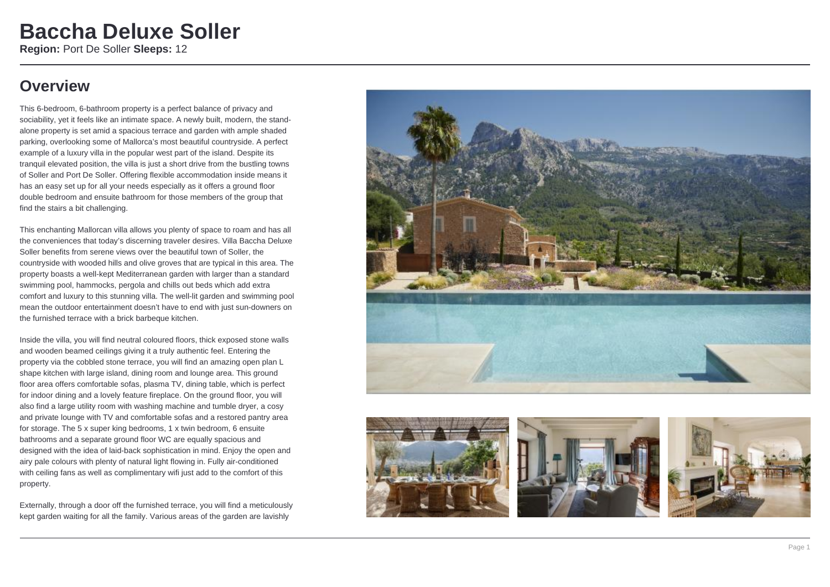### **Overview**

This 6-bedroom, 6-bathroom property is a perfect balance of privacy and sociability, yet it feels like an intimate space. A newly built, modern, the standalone property is set amid a spacious terrace and garden with ample shaded parking, overlooking some of Mallorca's most beautiful countryside. A perfect example of a luxury villa in the popular west part of the island. Despite its tranquil elevated position, the villa is just a short drive from the bustling towns of Soller and Port De Soller. Offering flexible accommodation inside means it has an easy set up for all your needs especially as it offers a ground floor double bedroom and ensuite bathroom for those members of the group that find the stairs a bit challenging.

This enchanting Mallorcan villa allows you plenty of space to roam and has all the conveniences that today's discerning traveler desires. Villa Baccha Deluxe Soller benefits from serene views over the beautiful town of Soller, the countryside with wooded hills and olive groves that are typical in this area. The property boasts a well-kept Mediterranean garden with larger than a standard swimming pool, hammocks, pergola and chills out beds which add extra comfort and luxury to this stunning villa. The well-lit garden and swimming pool mean the outdoor entertainment doesn't have to end with just sun-downers on the furnished terrace with a brick barbeque kitchen.

Inside the villa, you will find neutral coloured floors, thick exposed stone walls and wooden beamed ceilings giving it a truly authentic feel. Entering the property via the cobbled stone terrace, you will find an amazing open plan L shape kitchen with large island, dining room and lounge area. This ground floor area offers comfortable sofas, plasma TV, dining table, which is perfect for indoor dining and a lovely feature fireplace. On the ground floor, you will also find a large utility room with washing machine and tumble dryer, a cosy and private lounge with TV and comfortable sofas and a restored pantry area for storage. The 5 x super king bedrooms, 1 x twin bedroom, 6 ensuite bathrooms and a separate ground floor WC are equally spacious and designed with the idea of laid-back sophistication in mind. Enjoy the open and airy pale colours with plenty of natural light flowing in. Fully air-conditioned with ceiling fans as well as complimentary wifi just add to the comfort of this property.

Externally, through a door off the furnished terrace, you will find a meticulously kept garden waiting for all the family. Various areas of the garden are lavishly







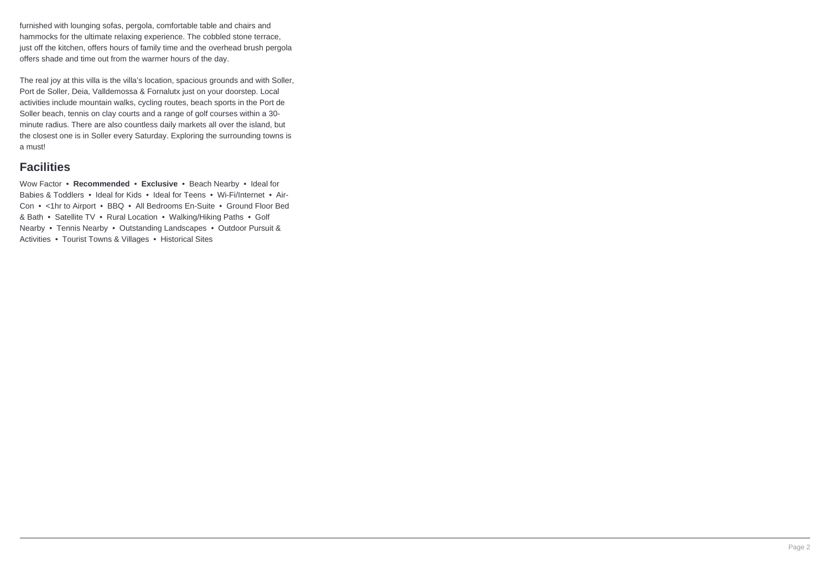furnished with lounging sofas, pergola, comfortable table and chairs and hammocks for the ultimate relaxing experience. The cobbled stone terrace, just off the kitchen, offers hours of family time and the overhead brush pergola offers shade and time out from the warmer hours of the day.

The real joy at this villa is the villa's location, spacious grounds and with Soller, Port de Soller, Deia, Valldemossa & Fornalutx just on your doorstep. Local activities include mountain walks, cycling routes, beach sports in the Port de Soller beach, tennis on clay courts and a range of golf courses within a 30 minute radius. There are also countless daily markets all over the island, but the closest one is in Soller every Saturday. Exploring the surrounding towns is a must!

### **Facilities**

Wow Factor • **Recommended** • **Exclusive** • Beach Nearby • Ideal for Babies & Toddlers • Ideal for Kids • Ideal for Teens • Wi-Fi/Internet • Air-Con • <1hr to Airport • BBQ • All Bedrooms En-Suite • Ground Floor Bed & Bath • Satellite TV • Rural Location • Walking/Hiking Paths • Golf Nearby • Tennis Nearby • Outstanding Landscapes • Outdoor Pursuit & Activities • Tourist Towns & Villages • Historical Sites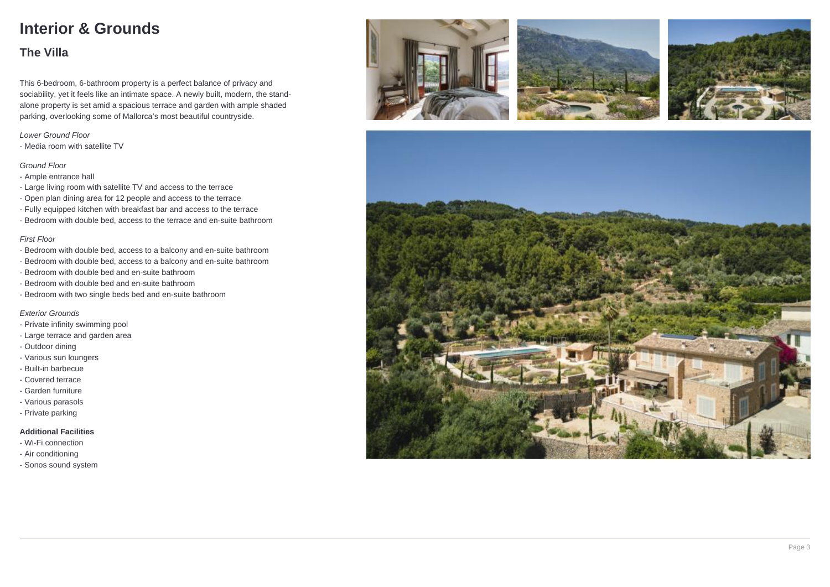# **Interior & Grounds**

### **The Villa**

This 6-bedroom, 6-bathroom property is a perfect balance of privacy and sociability, yet it feels like an intimate space. A newly built, modern, the standalone property is set amid a spacious terrace and garden with ample shaded parking, overlooking some of Mallorca's most beautiful countryside.

#### Lower Ground Floor

- Media room with satellite TV

#### Ground Floor

- Ample entrance hall
- Large living room with satellite TV and access to the terrace
- Open plan dining area for 12 people and access to the terrace
- Fully equipped kitchen with breakfast bar and access to the terrace
- Bedroom with double bed, access to the terrace and en-suite bathroom

#### First Floor

- Bedroom with double bed, access to a balcony and en-suite bathroom
- Bedroom with double bed, access to a balcony and en-suite bathroom
- Bedroom with double bed and en-suite bathroom
- Bedroom with double bed and en-suite bathroom
- Bedroom with two single beds bed and en-suite bathroom

#### Exterior Grounds

- Private infinity swimming pool
- Large terrace and garden area
- Outdoor dining
- Various sun loungers
- Built-in barbecue
- Covered terrace
- Garden furniture
- Various parasols
- Private parking

#### **Additional Facilities**

- Wi-Fi connection
- Air conditioning
- Sonos sound system







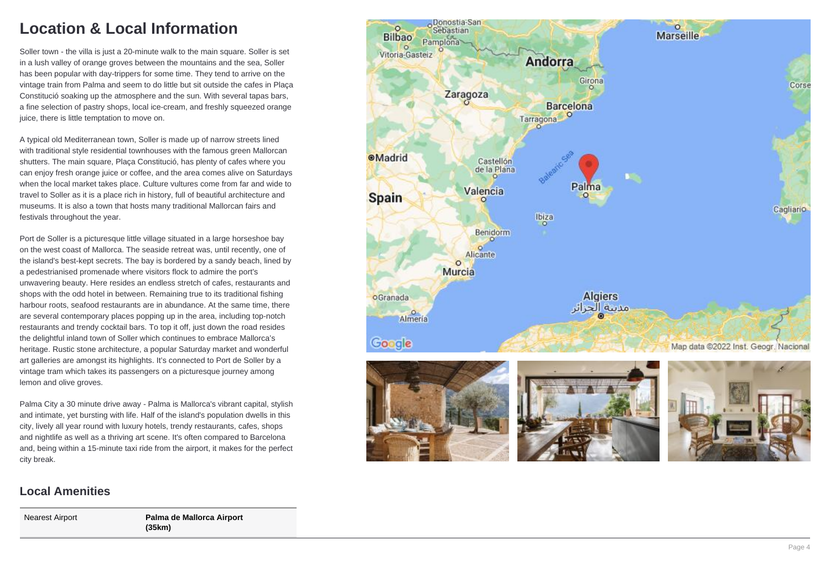# **Location & Local Information**

Soller town - the villa is just a 20-minute walk to the main square. Soller is set in a lush valley of orange groves between the mountains and the sea, Soller has been popular with day-trippers for some time. They tend to arrive on the vintage train from Palma and seem to do little but sit outside the cafes in Plaça Constitució soaking up the atmosphere and the sun. With several tapas bars, a fine selection of pastry shops, local ice-cream, and freshly squeezed orange juice, there is little temptation to move on.

A typical old Mediterranean town, Soller is made up of narrow streets lined with traditional style residential townhouses with the famous green Mallorcan shutters. The main square, Plaça Constitució, has plenty of cafes where you can enjoy fresh orange juice or coffee, and the area comes alive on Saturdays when the local market takes place. Culture vultures come from far and wide to travel to Soller as it is a place rich in history, full of beautiful architecture and museums. It is also a town that hosts many traditional Mallorcan fairs and festivals throughout the year.

Port de Soller is a picturesque little village situated in a large horseshoe bay on the west coast of Mallorca. The seaside retreat was, until recently, one of the island's best-kept secrets. The bay is bordered by a sandy beach, lined by a pedestrianised promenade where visitors flock to admire the port's unwavering beauty. Here resides an endless stretch of cafes, restaurants and shops with the odd hotel in between. Remaining true to its traditional fishing harbour roots, seafood restaurants are in abundance. At the same time, there are several contemporary places popping up in the area, including top-notch restaurants and trendy cocktail bars. To top it off, just down the road resides the delightful inland town of Soller which continues to embrace Mallorca's heritage. Rustic stone architecture, a popular Saturday market and wonderful art galleries are amongst its highlights. It's connected to Port de Soller by a vintage tram which takes its passengers on a picturesque journey among lemon and olive groves.

Palma City a 30 minute drive away - Palma is Mallorca's vibrant capital, stylish and intimate, yet bursting with life. Half of the island's population dwells in this city, lively all year round with luxury hotels, trendy restaurants, cafes, shops and nightlife as well as a thriving art scene. It's often compared to Barcelona and, being within a 15-minute taxi ride from the airport, it makes for the perfect city break.

### Oonostia-San  $\circ$  $\circ$ Sebastian Marseille **Bilbao** Pamplona Vitoria-Gasteiz Andorra Girona Corse Zaragoza **Barcelona** Tarragona **OMadrid** Castellón de la Plana Palma Valencia **Spain** Cagliario Ibiza **Benidorm**  $\circ$ Alicante  $\circ$ Murcia **Algiers** oGranada مدينة الحزانر Almería Google Map data @2022 Inst. Geogr. Nacional

### **Local Amenities**

Nearest Airport **Palma de Mallorca Airport (35km)**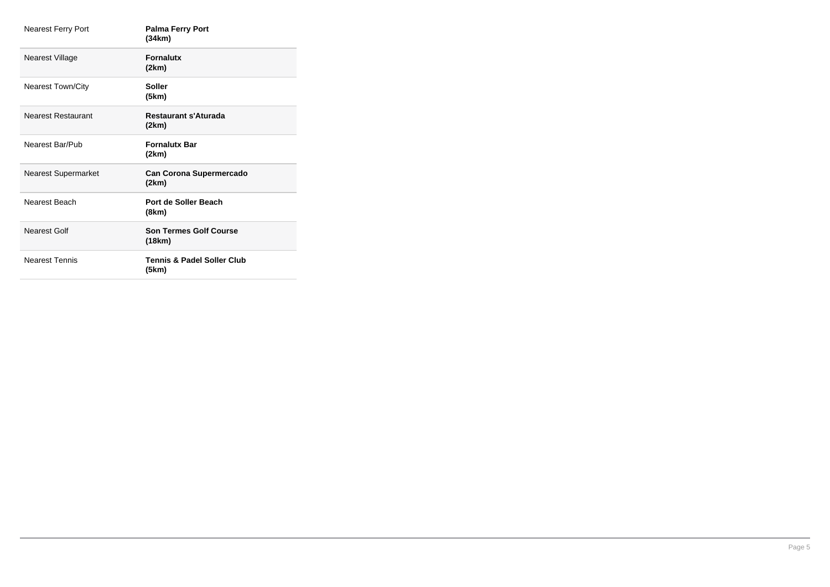| <b>Nearest Ferry Port</b>  | <b>Palma Ferry Port</b><br>(34km)       |
|----------------------------|-----------------------------------------|
| Nearest Village            | <b>Fornalutx</b><br>(2km)               |
| <b>Nearest Town/City</b>   | <b>Soller</b><br>(5km)                  |
| <b>Nearest Restaurant</b>  | <b>Restaurant s'Aturada</b><br>(2km)    |
| Nearest Bar/Pub            | <b>Fornalutx Bar</b><br>(2km)           |
| <b>Nearest Supermarket</b> | <b>Can Corona Supermercado</b><br>(2km) |
| Nearest Beach              | Port de Soller Beach<br>(8km)           |
| Nearest Golf               | <b>Son Termes Golf Course</b><br>(18km) |
| <b>Nearest Tennis</b>      | Tennis & Padel Soller Club<br>(5km)     |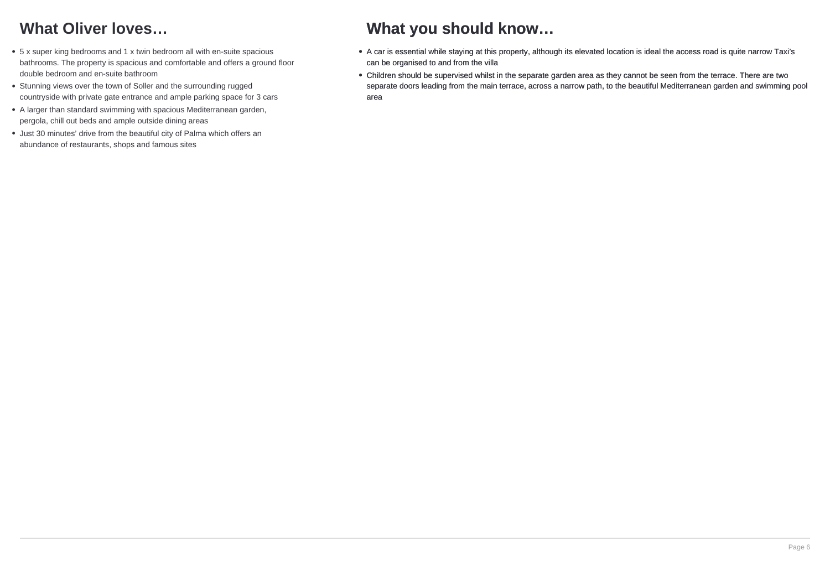# **What Oliver loves…**

- 5 x super king bedrooms and 1 x twin bedroom all with en-suite spacious bathrooms. The property is spacious and comfortable and offers a ground floor double bedroom and en-suite bathroom
- Stunning views over the town of Soller and the surrounding rugged countryside with private gate entrance and ample parking space for 3 cars
- A larger than standard swimming with spacious Mediterranean garden, pergola, chill out beds and ample outside dining areas
- Just 30 minutes' drive from the beautiful city of Palma which offers an abundance of restaurants, shops and famous sites

# **What you should know…**

- A car is essential while staying at this property, although its elevated location is ideal the access road is quite narrow Taxi's can be organised to and from the villa
- Children should be supervised whilst in the separate garden area as they cannot be seen from the terrace. There are two separate doors leading from the main terrace, across a narrow path, to the beautiful Mediterranean garden and swimming pool area